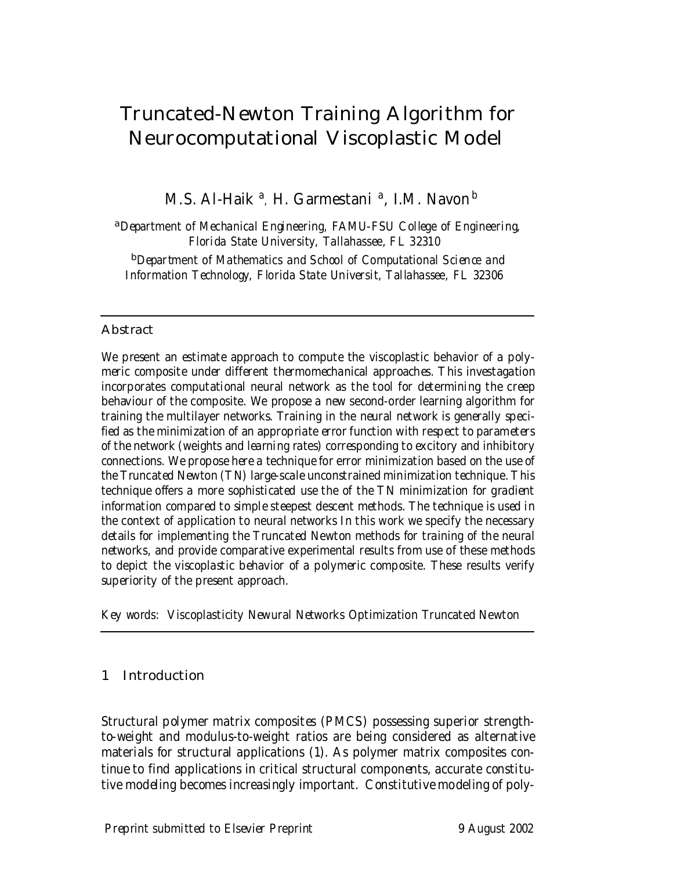# Truncated-Newton Training Algorithm for Neurocomputational Viscoplastic Model

M.S. Al-Haik <sup>a</sup>, H. Garmestani <sup>a</sup>, I.M. Navon<sup>b</sup>

<sup>a</sup>Department of Mechanical Engineering, FAMU-FSU College of Engineering, Florida State University, Tallahassee, FL 32310

<sup>b</sup>Department of Mathematics and School of Computational Science and Information Technology, Florida State Universit, Tallahassee, FL 32306

## **Abstract**

We present an estimate approach to compute the viscoplastic behavior of a polymeric composite under different thermomechanical approaches. This investagation incorporates computational neural network as the tool for determining the creep behaviour of the composite. We propose a new second-order learning algorithm for training the multilayer networks. Training in the neural network is generally specified as the minimization of an appropriate error function with respect to parameters of the network (weights and learning rates) corresponding to excitory and inhibitory connections. We propose here a technique for error minimization based on the use of the Truncated Newton (TN) large-scale unconstrained minimization technique. This technique offers a more sophisticated use the of the TN minimization for gradient information compared to simple steepest descent methods. The technique is used in the context of application to neural networks In this work we specify the necessary details for implementing the Truncated Newton methods for training of the neural networks, and provide comparative experimental results from use of these methods to depict the viscoplastic behavior of a polymeric composite. These results verify superiority of the present approach.

Key words: Viscoplasticity Newural Networks Optimization Truncated Newton

# 1 Introduction

Structural polymer matrix composites (PMCS) possessing superior strengthto-weight and modulus-to-weight ratios are being considered as alternative materials for structural applications (1). As polymer matrix composites continue to find applications in critical structural components, accurate constitutive modeling becomes increasingly important. Constitutive modeling of poly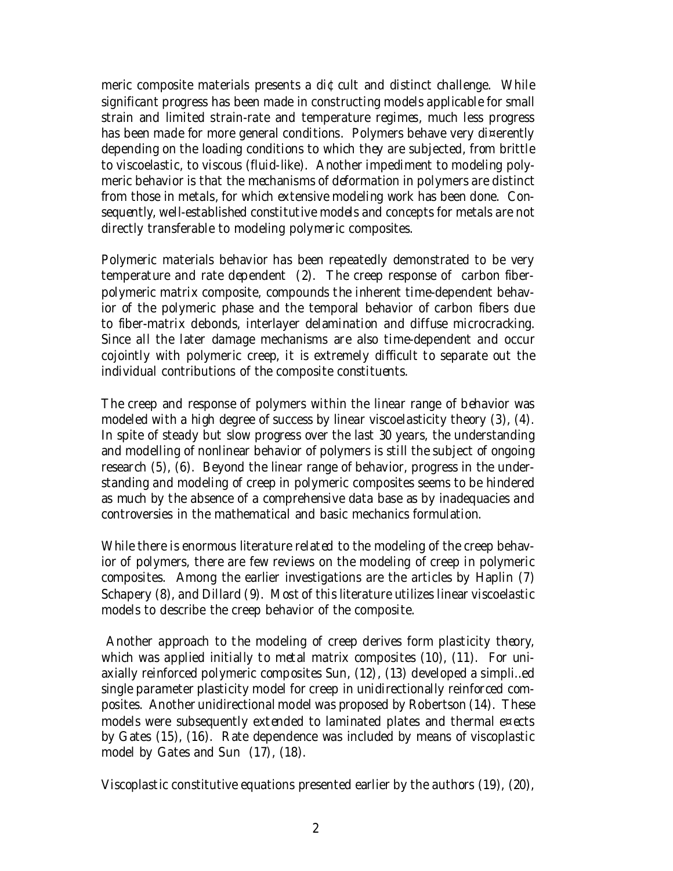meric composite materials presents a di¢cult and distinct challenge. While significant progress has been made in constructing models applicable for small strain and limited strain-rate and temperature regimes, much less progress has been made for more general conditions. Polymers behave very di¤erently depending on the loading conditions to which they are subjected, from brittle to viscoelastic, to viscous (fluid-like). Another impediment to modeling polymeric behavior is that the mechanisms of deformation in polymers are distinct from those in metals, for which extensive modeling work has been done. Consequently, well-established constitutive models and concepts for metals are not directly transferable to modeling polymeric composites.

Polymeric materials behavior has been repeatedly demonstrated to be very temperature and rate dependent (2). The creep response of carbon fiberpolymeric matrix composite, compounds the inherent time-dependent behavior of the polymeric phase and the temporal behavior of carbon fibers due to fiber-matrix debonds, interlayer delamination and diffuse microcracking. Since all the later damage mechanisms are also time-dependent and occur cojointly with polymeric creep, it is extremely difficult to separate out the individual contributions of the composite constituents.

The creep and response of polymers within the linear range of behavior was modeled with a high degree of success by linear viscoelasticity theory (3), (4). In spite of steady but slow progress over the last 30 years, the understanding and modelling of nonlinear behavior of polymers is still the subject of ongoing research (5), (6). Beyond the linear range of behavior, progress in the understanding and modeling of creep in polymeric composites seems to be hindered as much by the absence of a comprehensive data base as by inadequacies and controversies in the mathematical and basic mechanics formulation.

While there is enormous literature related to the modeling of the creep behavior of polymers, there are few reviews on the modeling of creep in polymeric composites. Among the earlier investigations are the articles by Haplin (7) Schapery (8), and Dillard (9). Most of this literature utilizes linear viscoelastic models to describe the creep behavior of the composite.

Another approach to the modeling of creep derives form plasticity theory, which was applied initially to metal matrix composites (10), (11). For uniaxially reinforced polymeric composites Sun, (12), (13) developed a simpli…ed single parameter plasticity model for creep in unidirectionally reinforced composites. Another unidirectional model was proposed by Robertson (14). These models were subsequently extended to laminated plates and thermal e¤ects by Gates (15), (16). Rate dependence was included by means of viscoplastic model by Gates and Sun (17), (18).

Viscoplastic constitutive equations presented earlier by the authors (19), (20),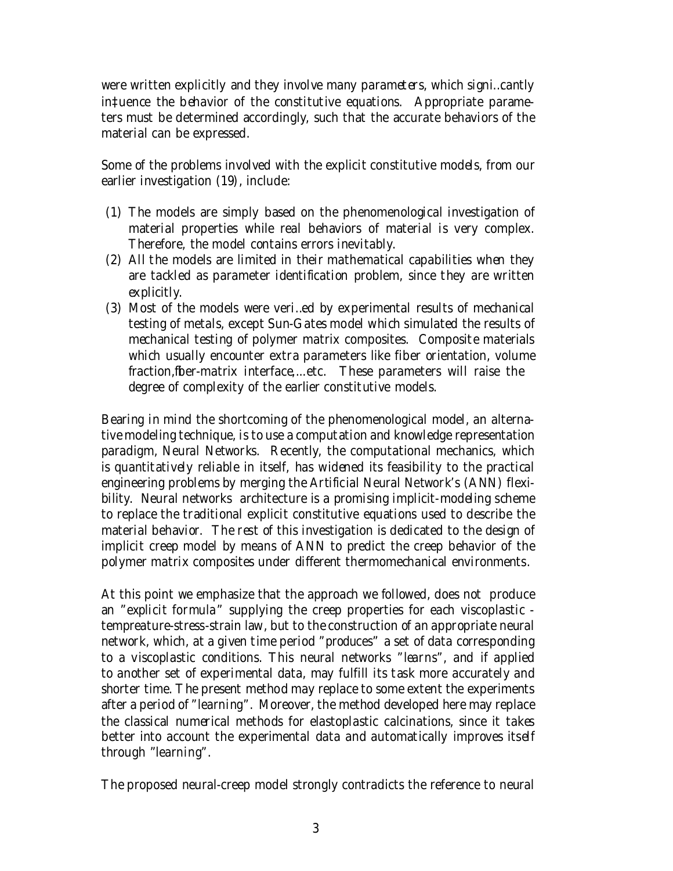were written explicitly and they involve many parameters, which signi…cantly in‡uence the behavior of the constitutive equations. Appropriate parameters must be determined accordingly, such that the accurate behaviors of the material can be expressed.

Some of the problems involved with the explicit constitutive models, from our earlier investigation (19), include:

- (1) The models are simply based on the phenomenological investigation of material properties while real behaviors of material is very complex. Therefore, the model contains errors inevitably.
- (2) All the models are limited in their mathematical capabilities when they are tackled as parameter identification problem, since they are written explicitly.
- (3) Most of the models were veri…ed by experimental results of mechanical testing of metals, except Sun-Gates model which simulated the results of mechanical testing of polymer matrix composites. Composite materials which usually encounter extra parameters like fiber orientation, volume fraction,fiber-matrix interface,...etc. These parameters will raise the degree of complexity of the earlier constitutive models.

Bearing in mind the shortcoming of the phenomenological model, an alternative modeling technique, is to use a computation and knowledge representation paradigm, Neural Networks. Recently, the computational mechanics, which is quantitatively reliable in itself, has widened its feasibility to the practical engineering problems by merging the Artificial Neural Network's (ANN) flexibility. Neural networks architecture is a promising implicit-modeling scheme to replace the traditional explicit constitutive equations used to describe the material behavior. The rest of this investigation is dedicated to the design of implicit creep model by means of ANN to predict the creep behavior of the polymer matrix composites under different thermomechanical environments.

At this point we emphasize that the approach we followed, does not produce an "explicit formula" supplying the creep properties for each viscoplastic tempreature-stress-strain law, but to the construction of an appropriate neural network, which, at a given time period "produces" a set of data corresponding to a viscoplastic conditions. This neural networks "learns", and if applied to another set of experimental data, may fulfill its task more accurately and shorter time. The present method may replace to some extent the experiments after a period of "learning". Moreover, the method developed here may replace the classical numerical methods for elastoplastic calcinations, since it takes better into account the experimental data and automatically improves itself through "learning".

The proposed neural-creep model strongly contradicts the reference to neural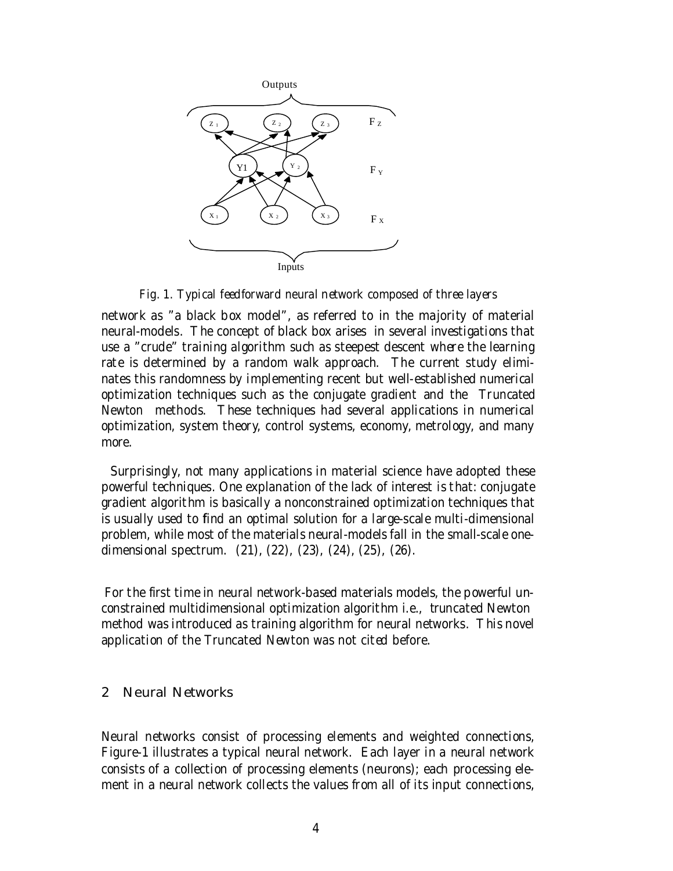

Fig. 1. Typical feedforward neural network composed of three layers

network as "a black box model", as referred to in the majority of material neural-models. The concept of black box arises in several investigations that use a "crude" training algorithm such as steepest descent where the learning rate is determined by a random walk approach. The current study eliminates this randomness by implementing recent but well-established numerical optimization techniques such as the conjugate gradient and the Truncated Newton methods. These techniques had several applications in numerical optimization, system theory, control systems, economy, metrology, and many more.

Surprisingly, not many applications in material science have adopted these powerful techniques. One explanation of the lack of interest is that: conjugate gradient algorithm is basically a nonconstrained optimization techniques that is usually used to find an optimal solution for a large-scale multi-dimensional problem, while most of the materials neural-models fall in the small-scale onedimensional spectrum. (21), (22), (23), (24), (25), (26).

For the first time in neural network-based materials models, the powerful unconstrained multidimensional optimization algorithm i.e., truncated Newton method was introduced as training algorithm for neural networks. This novel application of the Truncated Newton was not cited before.

## 2 Neural Networks

Neural networks consist of processing elements and weighted connections, Figure-1 illustrates a typical neural network. Each layer in a neural network consists of a collection of processing elements (neurons); each processing element in a neural network collects the values from all of its input connections,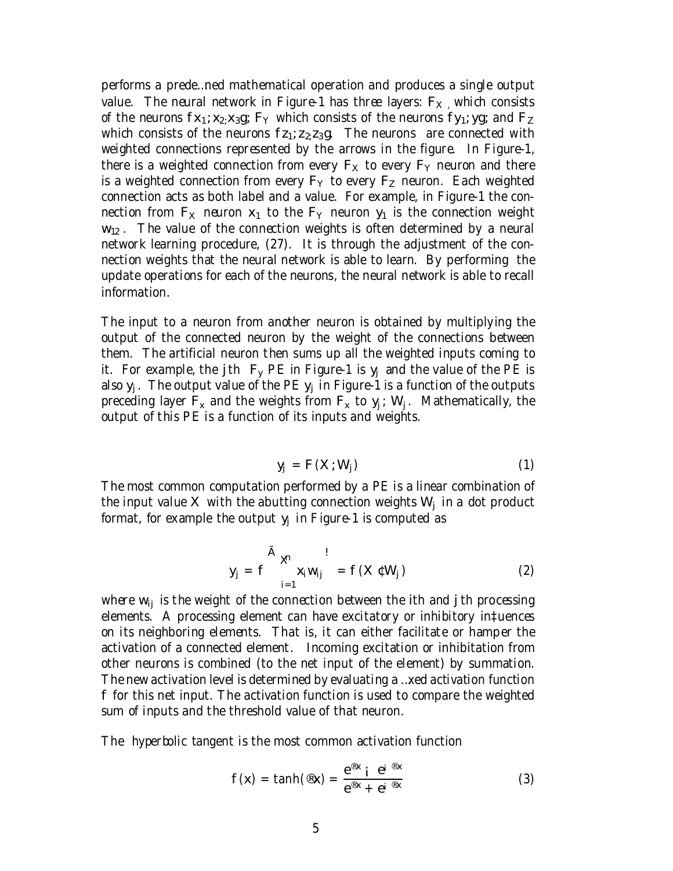performs a prede…ned mathematical operation and produces a single output value. The neural network in Figure-1 has three layers:  $F_X$ , which consists of the neurons  $fx_1; x_2; x_3g$ ;  $F_Y$  which consists of the neurons  $fy_1; yg_2$  and  $F_Z$ which consists of the neurons  $f_{Z_1; Z_2; Z_3; Q}$ . The neurons are connected with weighted connections represented by the arrows in the figure. In Figure-1, there is a weighted connection from every  $F_x$  to every  $F_y$  neuron and there is a weighted connection from every  $F_Y$  to every  $F_Z$  neuron. Each weighted connection acts as both label and a value. For example, in Figure-1 the connection from  $F_X$  neuron  $x_1$  to the  $F_Y$  neuron  $y_1$  is the connection weight  $w_{12}$ . The value of the connection weights is often determined by a neural network learning procedure, (27). It is through the adjustment of the connection weights that the neural network is able to learn. By performing the update operations for each of the neurons, the neural network is able to recall information.

The input to a neuron from another neuron is obtained by multiplying the output of the connected neuron by the weight of the connections between them. The artificial neuron then sums up all the weighted inputs coming to it. For example, the jth  $F_v$  PE in Figure-1 is  $y_i$  and the value of the PE is also  $y_i$ . The output value of the PE  $y_i$  in Figure-1 is a function of the outputs preceding layer  $F_x$  and the weights from  $F_x$  to  $y_i$ ; W<sub>i</sub>. Mathematically, the output of this PE is a function of its inputs and weights.

$$
y_j = F(X; W_j)
$$
 (1)

The most common computation performed by a PE is a linear combination of the input value  $X$  with the abutting connection weights  $W_i$  in a dot product format, for example the output  $y_i$  in Figure-1 is computed as

$$
y_j = f \sum_{i=1}^{A} x_i w_{ij} = f(X \in W_j)
$$
 (2)

where  $w_{ii}$  is the weight of the connection between the ith and j th processing elements. A processing element can have excitatory or inhibitory in‡uences on its neighboring elements. That is, it can either facilitate or hamper the activation of a connected element. Incoming excitation or inhibitation from other neurons is combined (to the net input of the element) by summation. The new activation level is determined by evaluating a …xed activation function f for this net input. The activation function is used to compare the weighted sum of inputs and the threshold value of that neuron.

The hyperbolic tangent is the most common activation function

$$
f(x) = \tanh(\mathscr{B}x) = \frac{e^{\mathscr{B}x} i e^{i \mathscr{B}x}}{e^{\mathscr{B}x} + e^{i \mathscr{B}x}}
$$
(3)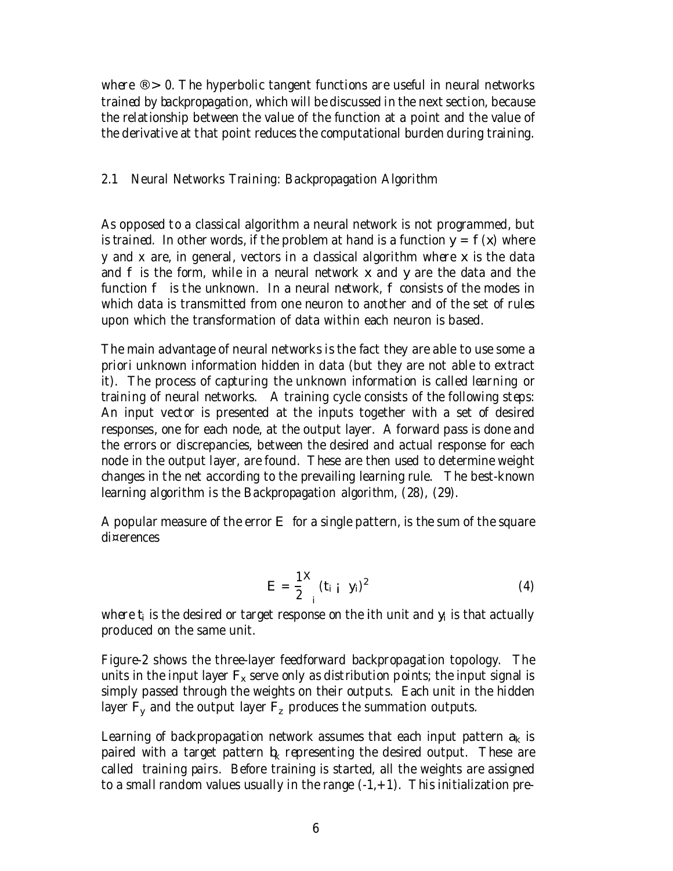where  $\mathcal{R} > 0$ . The hyperbolic tangent functions are useful in neural networks trained by backpropagation, which will be discussed in the next section, because the relationship between the value of the function at a point and the value of the derivative at that point reduces the computational burden during training.

# 2.1 Neural Networks Training: Backpropagation Algorithm

As opposed to a classical algorithm a neural network is not programmed, but is trained. In other words, if the problem at hand is a function  $y = f(x)$  where y and x are, in general, vectors in a classical algorithm where x is the data and f is the form, while in a neural network x and y are the data and the function f is the unknown. In a neural network, f consists of the modes in which data is transmitted from one neuron to another and of the set of rules upon which the transformation of data within each neuron is based.

The main advantage of neural networks is the fact they are able to use some a priori unknown information hidden in data (but they are not able to extract it). The process of capturing the unknown information is called learning or training of neural networks. A training cycle consists of the following steps: An input vector is presented at the inputs together with a set of desired responses, one for each node, at the output layer. A forward pass is done and the errors or discrepancies, between the desired and actual response for each node in the output layer, are found. These are then used to determine weight changes in the net according to the prevailing learning rule. The best-known learning algorithm is the Backpropagation algorithm, (28), (29).

A popular measure of the error E for a single pattern, is the sum of the square di¤erences

$$
E = \frac{1}{2} \left( t_{i} + y_{i} \right)^{2}
$$
 (4)

where  $t_i$  is the desired or target response on the ith unit and  $y_i$  is that actually produced on the same unit.

Figure-2 shows the three-layer feedforward backpropagation topology. The units in the input layer  $F_x$  serve only as distribution points; the input signal is simply passed through the weights on their outputs. Each unit in the hidden layer  $F_v$  and the output layer  $F_z$  produces the summation outputs.

Learning of backpropagation network assumes that each input pattern  $a_k$  is paired with a target pattern  $b_k$  representing the desired output. These are called training pairs. Before training is started, all the weights are assigned to a small random values usually in the range  $(-1, +1)$ . This initialization pre-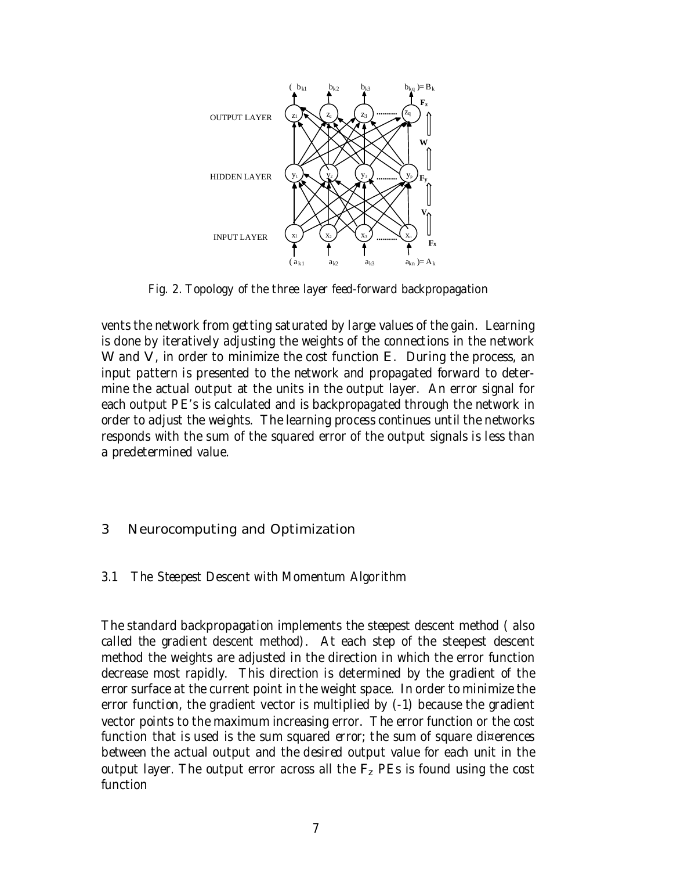

Fig. 2. Topology of the three layer feed-forward backpropagation

vents the network from getting saturated by large values of the gain. Learning is done by iteratively adjusting the weights of the connections in the network W and V, in order to minimize the cost function E. During the process, an input pattern is presented to the network and propagated forward to determine the actual output at the units in the output layer. An error signal for each output PE's is calculated and is backpropagated through the network in order to adjust the weights. The learning process continues until the networks responds with the sum of the squared error of the output signals is less than a predetermined value.

# 3 Neurocomputing and Optimization

# 3.1 The Steepest Descent with Momentum Algorithm

The standard backpropagation implements the steepest descent method ( also called the gradient descent method). At each step of the steepest descent method the weights are adjusted in the direction in which the error function decrease most rapidly. This direction is determined by the gradient of the error surface at the current point in the weight space. In order to minimize the error function, the gradient vector is multiplied by (-1) because the gradient vector points to the maximum increasing error. The error function or the cost function that is used is the sum squared error; the sum of square di¤erences between the actual output and the desired output value for each unit in the output layer. The output error across all the  $F<sub>z</sub>$  PEs is found using the cost function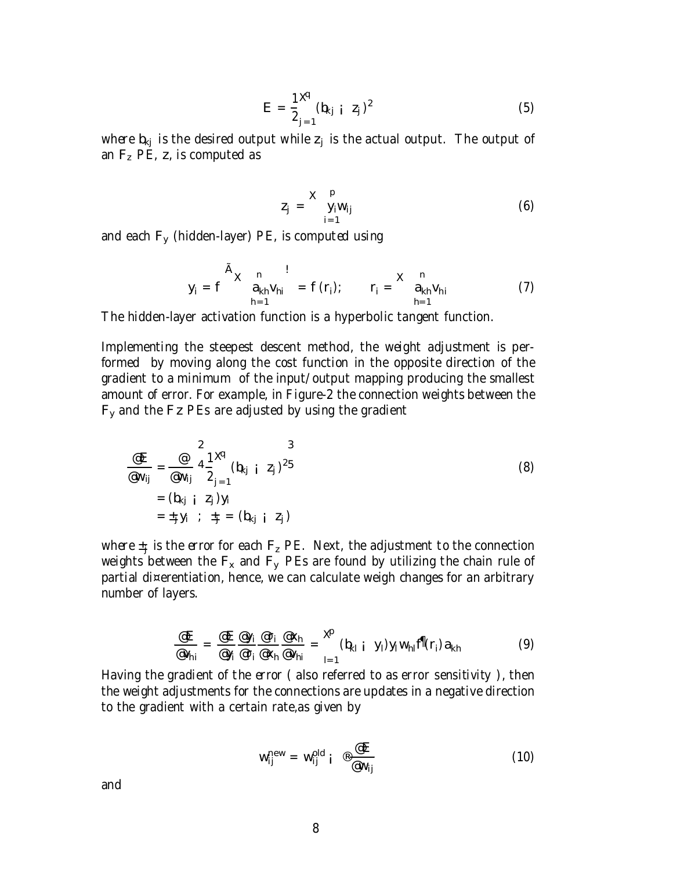$$
E = \frac{1 \mathcal{A}}{2_{j=1}} (b_{kj} \ i \ z_j)^2
$$
 (5)

where  $b_{ki}$  is the desired output while  $z_i$  is the actual output. The output of an  $F_z$  PE, z, is computed as

$$
Z_j = \sum_{i=1}^{p} y_i w_{ij} \tag{6}
$$

and each  $F_v$  (hidden-layer) PE, is computed using

$$
y_{i} = f \sum_{h=1}^{\tilde{A}} x_{ih} v_{hi} = f(r_{i}); \qquad r_{i} = \sum_{h=1}^{n} a_{kh} v_{hi}
$$
 (7)

The hidden-layer activation function is a hyperbolic tangent function.

Implementing the steepest descent method, the weight adjustment is performed by moving along the cost function in the opposite direction of the gradient to a minimum of the input/output mapping producing the smallest amount of error. For example, in Figure-2 the connection weights between the  $F<sub>y</sub>$  and the Fz PEs are adjusted by using the gradient

$$
\frac{\mathscr{E}E}{\mathscr{E}W_{ij}} = \frac{\mathscr{E}}{\mathscr{E}W_{ij}} 4\frac{1}{2} \mathscr{E}(b_{kj} \mid z_j)^{25}
$$
\n
$$
= (b_{kj} \mid z_j)y_i
$$
\n
$$
= \pm_j y_i \quad ; \quad \pm_j = (b_{kj} \mid z_j)
$$
\n(8)

where  $\pm_{\rm j}$  is the error for each  ${\sf F}_{\sf z}$  PE. Next, the adjustment to the connection weights between the  $F_x$  and  $F_y$  PEs are found by utilizing the chain rule of partial di¤erentiation, hence, we can calculate weigh changes for an arbitrary number of layers.

$$
\frac{\mathcal{Q}E}{\mathcal{Q}_{hi}} = \frac{\mathcal{Q}E}{\mathcal{Q}_{ji}} \frac{\mathcal{Q}_{Yi}}{\mathcal{Q}_{Yi}} \frac{\mathcal{Q}_{Yi}}{\mathcal{Q}_{Xh}} \frac{\mathcal{Q}_{Xh}}{\mathcal{Q}_{Vhi}} = \sum_{l=1}^{R} (b_{kl} i y_l) y_l w_{hl} f^{fl}(r_i) a_{kh}
$$
(9)

Having the gradient of the error ( also referred to as error sensitivity ), then the weight adjustments for the connections are updates in a negative direction to the gradient with a certain rate,as given by

$$
w_{ij}^{\text{new}} = w_{ij}^{\text{old}} i \stackrel{\circledast}{=} \frac{\circledast E}{\circledast w_{ij}}
$$
 (10)

and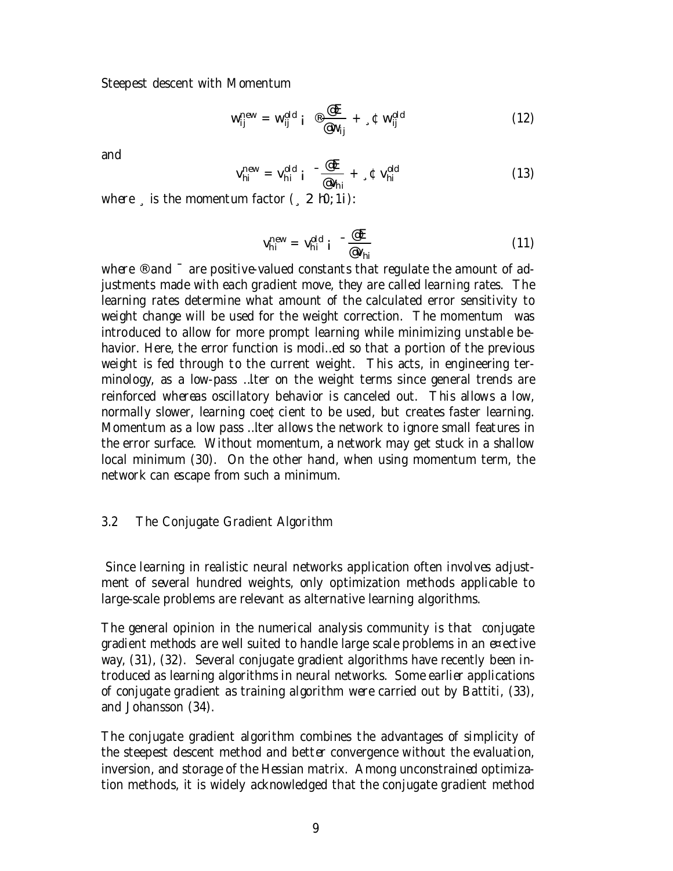Steepest descent with Momentum

$$
w_{ij}^{\text{new}} = w_{ij}^{\text{old}} i \quad \textcircled{e} \frac{\textcircled{E}}{\textcircled{w_{ij}}} + \textcircled{w}_{ij}^{\text{old}} \tag{12}
$$

and

$$
V_{hi}^{\text{new}} = V_{hi}^{\text{old}} i^{-\frac{\text{@E}}{\text{@V}_{hi}}} + {}_{\circ}\Phi V_{hi}^{\text{old}}
$$
(13)

where  $\frac{1}{2}$  is the momentum factor  $(2 h0; 1i)$ :

$$
V_{hi}^{new} = V_{hi}^{old} i^{-\frac{\omega E}{\omega V_{hi}}} \tag{11}
$$

where <sup>®</sup> and <sup>-</sup> are positive-valued constants that regulate the amount of adjustments made with each gradient move, they are called learning rates. The learning rates determine what amount of the calculated error sensitivity to weight change will be used for the weight correction. The momentum was introduced to allow for more prompt learning while minimizing unstable behavior. Here, the error function is modi…ed so that a portion of the previous weight is fed through to the current weight. This acts, in engineering terminology, as a low-pass …lter on the weight terms since general trends are reinforced whereas oscillatory behavior is canceled out. This allows a low, normally slower, learning coe¢cient to be used, but creates faster learning. Momentum as a low pass …lter allows the network to ignore small features in the error surface. Without momentum, a network may get stuck in a shallow local minimum (30). On the other hand, when using momentum term, the network can escape from such a minimum.

#### 3.2 The Conjugate Gradient Algorithm

Since learning in realistic neural networks application often involves adjustment of several hundred weights, only optimization methods applicable to large-scale problems are relevant as alternative learning algorithms.

The general opinion in the numerical analysis community is that conjugate gradient methods are well suited to handle large scale problems in an e¤ective way, (31), (32). Several conjugate gradient algorithms have recently been introduced as learning algorithms in neural networks. Some earlier applications of conjugate gradient as training algorithm were carried out by Battiti, (33), and Johansson (34).

The conjugate gradient algorithm combines the advantages of simplicity of the steepest descent method and better convergence without the evaluation, inversion, and storage of the Hessian matrix. Among unconstrained optimization methods, it is widely acknowledged that the conjugate gradient method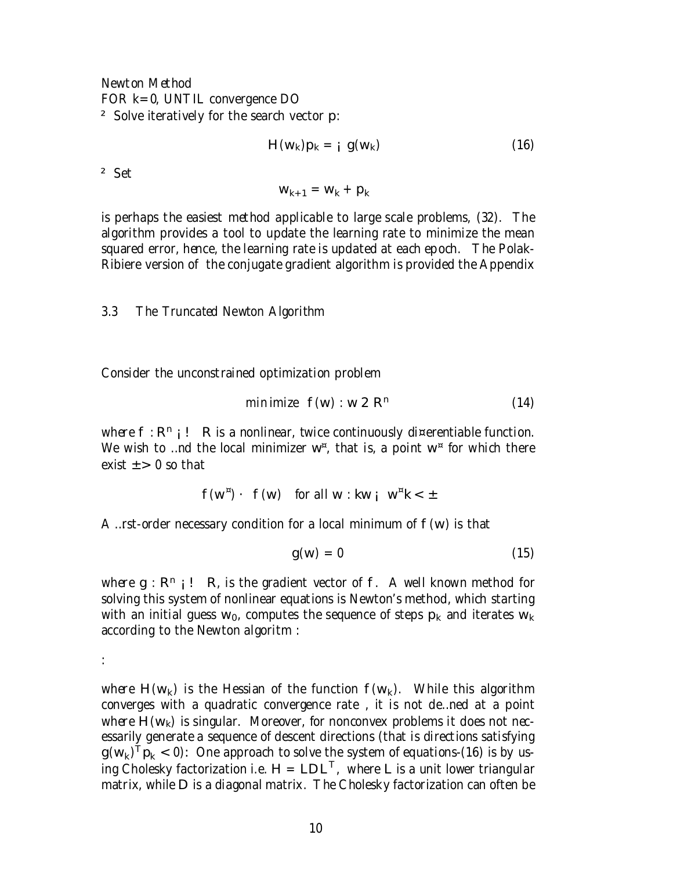Newton Method FOR k=0, UNTIL convergence DO ² Solve iteratively for the search vector p:

$$
H(w_k)p_k = i g(w_k)
$$
 (16)

² Set

 $W_{k+1} = W_k + p_k$ 

is perhaps the easiest method applicable to large scale problems, (32). The algorithm provides a tool to update the learning rate to minimize the mean squared error, hence, the learning rate is updated at each epoch. The Polak-Ribiere version of the conjugate gradient algorithm is provided the Appendix

3.3 The Truncated Newton Algorithm

Consider the unconstrained optimization problem

$$
minimize f(w) : w 2 Rn \qquad (14)
$$

where  $f: R^n$  i ! R is a nonlinear, twice continuously di¤erentiable function. We wish to …nd the local minimizer  $w^{\alpha}$ , that is, a point  $w^{\alpha}$  for which there exist  $+$  > 0 so that

$$
f(w^{\tt m}) \cdot f(w) \quad \text{for all } w : kw_i \ w^{\tt m} k < \pm
$$

A ... rst-order necessary condition for a local minimum of  $f(w)$  is that

$$
g(w) = 0 \tag{15}
$$

where  $q : R^n$  ;  $\vdash R$ , is the gradient vector of f. A well known method for solving this system of nonlinear equations is Newton's method, which starting with an initial guess  $w_0$ , computes the sequence of steps  $p_k$  and iterates  $w_k$ according to the Newton algoritm :

:

where  $H(w_k)$  is the Hessian of the function  $f(w_k)$ . While this algorithm converges with a quadratic convergence rate , it is not de…ned at a point where  $H(w_k)$  is singular. Moreover, for nonconvex problems it does not necessarily generate a sequence of descent directions (that is directions satisfying  $\mathbf{g}(\mathsf{w}_{\mathsf{k}})^\mathsf{T} \mathsf{p}_{\mathsf{k}} < 0$ ): One approach to solve the system of equations-(16) is by using Cholesky factorization i.e.  $H = LDL^{T}$ , where L is a unit lower triangular matrix, while D is a diagonal matrix. The Cholesky factorization can often be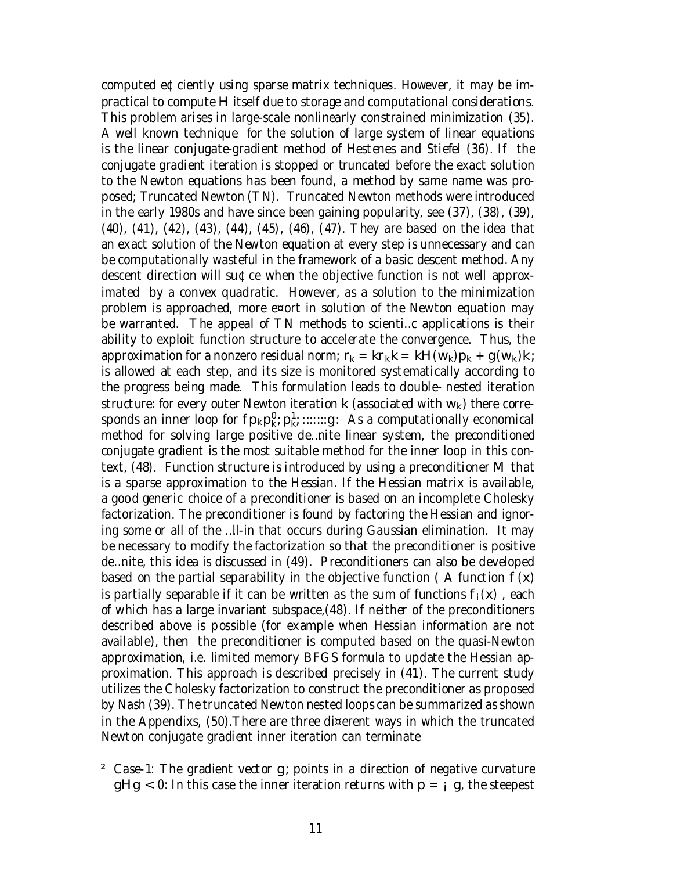computed e¢ciently using sparse matrix techniques. However, it may be impractical to compute H itself due to storage and computational considerations. This problem arises in large-scale nonlinearly constrained minimization (35). A well known technique for the solution of large system of linear equations is the linear conjugate-gradient method of Hestenes and Stiefel (36). If the conjugate gradient iteration is stopped or truncated before the exact solution to the Newton equations has been found, a method by same name was proposed; Truncated Newton (TN). Truncated Newton methods were introduced in the early 1980s and have since been gaining popularity, see (37), (38), (39), (40), (41), (42), (43), (44), (45), (46), (47). They are based on the idea that an exact solution of the Newton equation at every step is unnecessary and can be computationally wasteful in the framework of a basic descent method. Any descent direction will su¢ce when the objective function is not well approximated by a convex quadratic. However, as a solution to the minimization problem is approached, more e¤ort in solution of the Newton equation may be warranted. The appeal of TN methods to scienti…c applications is their ability to exploit function structure to accelerate the convergence. Thus, the approximation for a nonzero residual norm;  $r_k = kr_kk = kH(w_k)p_k + g(w_k)k$ ; is allowed at each step, and its size is monitored systematically according to the progress being made. This formulation leads to double- nested iteration structure: for every outer Newton iteration  $k$  (associated with  $w_k$ ) there corresponds an inner loop for  $fp_kp_k^0; p_k^1; \dots, g$ : As a computationally economical method for solving large positive de…nite linear system, the preconditioned conjugate gradient is the most suitable method for the inner loop in this context, (48). Function structure is introduced by using a preconditioner M that is a sparse approximation to the Hessian. If the Hessian matrix is available, a good generic choice of a preconditioner is based on an incomplete Cholesky factorization. The preconditioner is found by factoring the Hessian and ignoring some or all of the …ll-in that occurs during Gaussian elimination. It may be necessary to modify the factorization so that the preconditioner is positive de…nite, this idea is discussed in (49). Preconditioners can also be developed based on the partial separability in the objective function (A function  $f(x)$ ) is partially separable if it can be written as the sum of functions  $f_i(x)$ , each of which has a large invariant subspace,(48). If neither of the preconditioners described above is possible (for example when Hessian information are not available), then the preconditioner is computed based on the quasi-Newton approximation, i.e. limited memory BFGS formula to update the Hessian approximation. This approach is described precisely in (41). The current study utilizes the Cholesky factorization to construct the preconditioner as proposed by Nash (39). The truncated Newton nested loops can be summarized asshown in the Appendixs, (50).There are three di¤erent ways in which the truncated Newton conjugate gradient inner iteration can terminate

² Case-1: The gradient vector g; points in a direction of negative curvature  $gHg < 0$ : In this case the inner iteration returns with  $p = i$  g, the steepest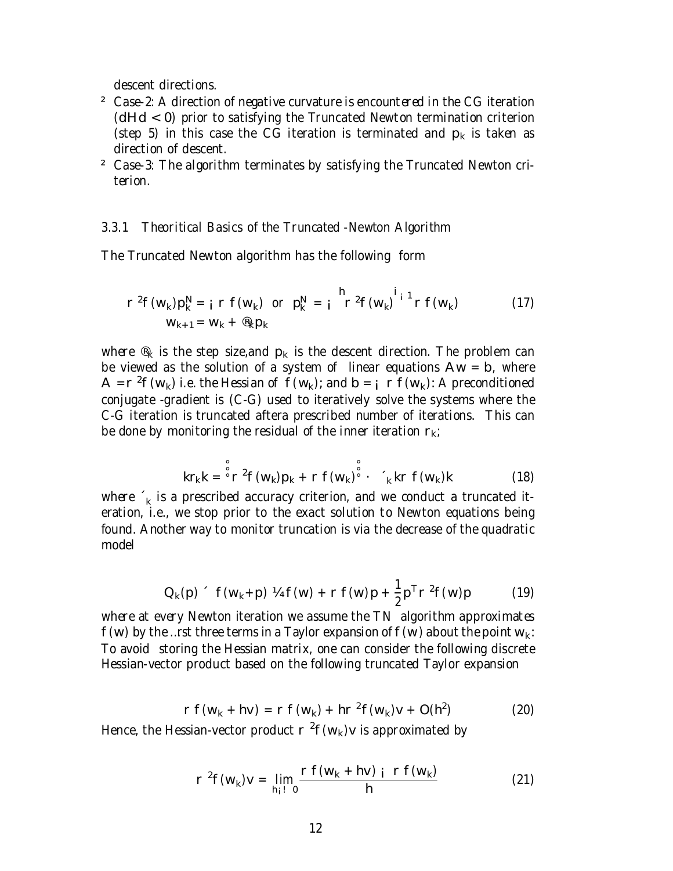descent directions.

- ² Case-2: A direction of negative curvature is encountered in the CG iteration (dHd < 0) prior to satisfying the Truncated Newton termination criterion (step 5) in this case the CG iteration is terminated and  $p_k$  is taken as direction of descent.
- ² Case-3: The algorithm terminates by satisfying the Truncated Newton criterion.

#### 3.3.1 Theoritical Basics of the Truncated -Newton Algorithm

The Truncated Newton algorithm has the following form

$$
r^{2}f(w_{k})p_{k}^{N} = i r f(w_{k}) \text{ or } p_{k}^{N} = i r^{2}f(w_{k})^{i_{1}^{1}} r f(w_{k})
$$
 (17)  

$$
w_{k+1} = w_{k} + \mathcal{B}_{k}p_{k}
$$

where  $\mathcal{R}_k$  is the step size, and  $p_k$  is the descent direction. The problem can be viewed as the solution of a system of linear equations  $Aw = b$ , where  $A = r^2 f(w_k)$  i.e. the Hessian of  $f(w_k)$ ; and  $b = i r f(w_k)$ : A preconditioned conjugate -gradient is (C-G) used to iteratively solve the systems where the C-G iteration is truncated aftera prescribed number of iterations. This can be done by monitoring the residual of the inner iteration  $r_k$ ;

$$
kr_{k}k = \int_{0}^{8} r^{2} f(w_{k})p_{k} + r f(w_{k}) \int_{0}^{8} \cdot \int_{k}^{8} kr f(w_{k})k
$$
 (18)

where  $\hat{\ }_{\mathsf{k}}$  is a prescribed accuracy criterion, and we conduct a truncated iteration, i.e., we stop prior to the exact solution to Newton equations being found. Another way to monitor truncation is via the decrease of the quadratic model

$$
Q_{k}(p) \text{ f}(w_{k}+p) V_{4} f(w) + r f(w)p + \frac{1}{2} p^{T} r^{2} f(w)p \qquad (19)
$$

where at every Newton iteration we assume the TN algorithm approximates  $f(w)$  by the …rst three terms in a Taylor expansion of  $f(w)$  about the point  $w_k$ : To avoid storing the Hessian matrix, one can consider the following discrete Hessian-vector product based on the following truncated Taylor expansion

$$
r f(w_k + hv) = r f(w_k) + hr^2 f(w_k)v + O(h^2)
$$
 (20)

Hence, the Hessian-vector product  $r^2f(w_k)v$  is approximated by

$$
r^{2}f(w_{k})v = \lim_{h_{i} \to 0} \frac{rf(w_{k} + hv) \text{ i } rf(w_{k})}{h}
$$
 (21)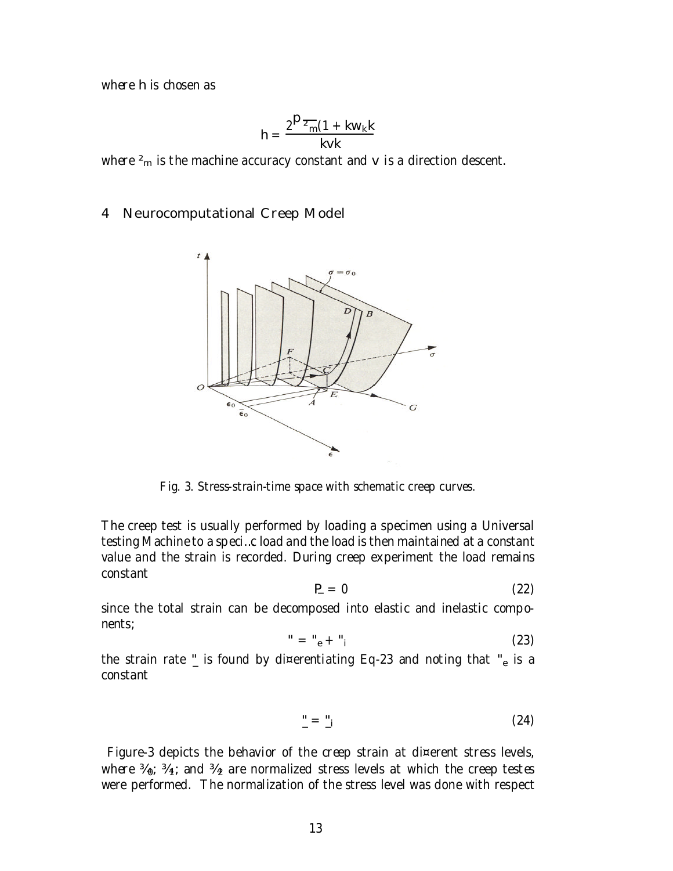where h is chosen as

$$
h = \frac{2^{D_{\overline{2}_{m}}}(1 + kw_{k}k)}{kvk}
$$

where  $^2\!{\sf m}$  is the machine accuracy constant and  ${\sf v}$  is a direction descent.

### 4 Neurocomputational Creep Model



Fig. 3. Stress-strain-time space with schematic creep curves.

The creep test is usually performed by loading a specimen using a Universal testing Machine to a speci…c load and the load is then maintained at a constant value and the strain is recorded. During creep experiment the load remains constant

$$
P = 0 \tag{22}
$$

since the total strain can be decomposed into elastic and inelastic components;

$$
" = "e + "i
$$
 (23)

the strain rate  $_{-}^{\prime}$  is found by di¤erentiating Eq-23 and noting that  $_{-}^{\prime}$  is a constant

$$
\underline{\ }^{\prime\prime}=\underline{\ }^{\prime\prime}i\tag{24}
$$

Figure-3 depicts the behavior of the creep strain at di¤erent stress levels, where  $\frac{3}{1}$ ;  $\frac{3}{1}$ ; and  $\frac{3}{2}$  are normalized stress levels at which the creep testes were performed. The normalization of the stress level was done with respect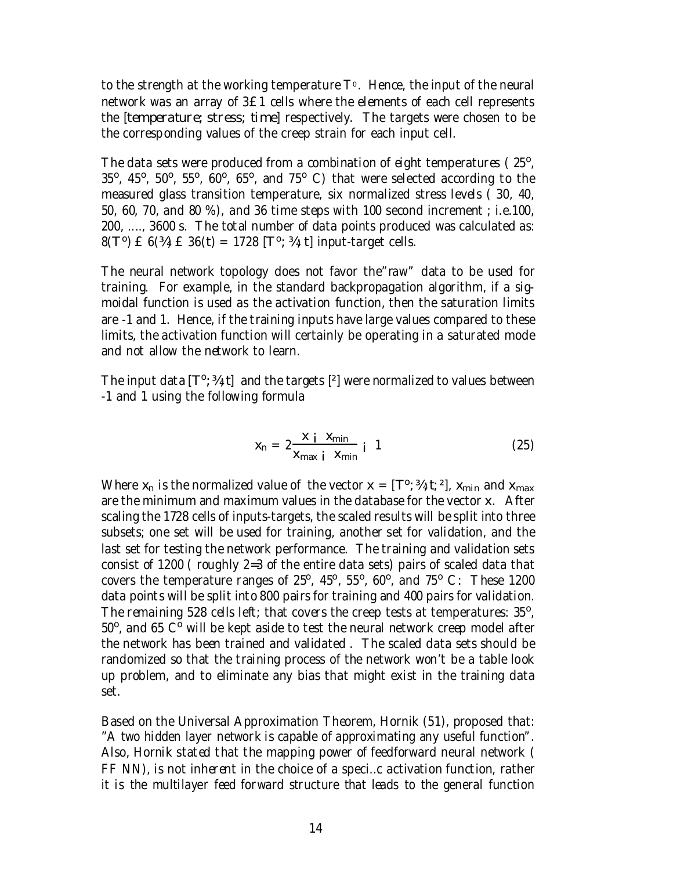to the strength at the working temperature  $T^{\circ}$ . Hence, the input of the neural network was an array of 3£1 cells where the elements of each cell represents the [temperature; stress; time] respectively. The targets were chosen to be the corresponding values of the creep strain for each input cell.

The data sets were produced from a combination of eight temperatures (25°,  $35^{\circ}$ ,  $45^{\circ}$ ,  $50^{\circ}$ ,  $55^{\circ}$ ,  $60^{\circ}$ ,  $65^{\circ}$ , and 75° C) that were selected according to the measured glass transition temperature, six normalized stress levels ( 30, 40, 50, 60, 70, and 80 %), and 36 time steps with 100 second increment ; i.e.100, 200, ...., 3600 s. The total number of data points produced was calculated as: 8(T<sup>o</sup>) £ 6(¾) £ 36(t) = 1728 [T<sup>o</sup>; ¾; t] input-target cells.

The neural network topology does not favor the"raw" data to be used for training. For example, in the standard backpropagation algorithm, if a sigmoidal function is used as the activation function, then the saturation limits are -1 and 1. Hence, if the training inputs have large values compared to these limits, the activation function will certainly be operating in a saturated mode and not allow the network to learn.

The input data  $[T^o; 3/4; t]$  and the targets  $[2]$  were normalized to values between -1 and 1 using the following formula

$$
x_n = 2 \frac{x i}{x_{max i} x_{min}} i 1
$$
 (25)

Where  $x_n$  is the normalized value of the vector  $x = [T^{\circ};\frac{3}{2};t;\frac{2}{2}]$ ,  $x_{min}$  and  $x_{max}$ are the minimum and maximum values in the database for the vector x. After scaling the 1728 cells of inputs-targets, the scaled results will be split into three subsets; one set will be used for training, another set for validation, and the last set for testing the network performance. The training and validation sets consist of 1200 ( roughly 2=3 of the entire data sets) pairs of scaled data that covers the temperature ranges of  $25^{\circ}$ ,  $45^{\circ}$ ,  $55^{\circ}$ , 60 $^{\circ}$ , and 75 $^{\circ}$  C: These 1200 data points will be split into 800 pairs for training and 400 pairs for validation. The remaining 528 cells left; that covers the creep tests at temperatures: 35°,  $50^{\circ}$ , and 65 C $^{\circ}$  will be kept aside to test the neural network creep model after the network has been trained and validated . The scaled data sets should be randomized so that the training process of the network won't be a table look up problem, and to eliminate any bias that might exist in the training data set.

Based on the Universal Approximation Theorem, Hornik (51), proposed that: "A two hidden layer network is capable of approximating any useful function". Also, Hornik stated that the mapping power of feedforward neural network ( FF NN), is not inherent in the choice of a speci…c activation function, rather it is the multilayer feed forward structure that leads to the general function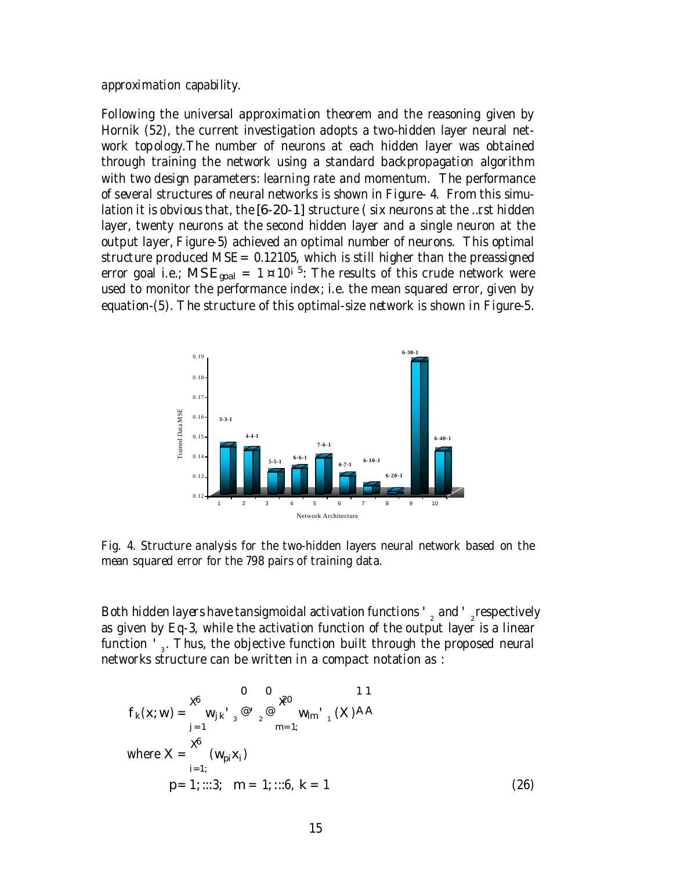approximation capability.

Following the universal approximation theorem and the reasoning given by Hornik (52), the current investigation adopts a two-hidden layer neural network topology.The number of neurons at each hidden layer was obtained through training the network using a standard backpropagation algorithm with two design parameters: learning rate and momentum. The performance of several structures of neural networks is shown in Figure- 4. From this simulation it is obvious that, the [6-20-1] structure ( six neurons at the …rst hidden layer, twenty neurons at the second hidden layer and a single neuron at the output layer, Figure-5) achieved an optimal number of neurons. This optimal structure produced MSE =  $0.12105$ , which is still higher than the preassigned error goal i.e.;  $\mathsf{MSE}_{\mathsf{goal}} = 1$  ¤ 10<sup>i 5</sup>: The results of this crude network were used to monitor the performance index; i.e. the mean squared error, given by equation-(5). The structure of this optimal-size network is shown in Figure-5.



Fig. 4. Structure analysis for the two-hidden layers neural network based on the mean squared error for the 798 pairs of training data.

Both hidden layers have tansigmoidal activation functions '  $\frac{1}{2}$  and '  $\frac{1}{2}$ respectively as given by Eq-3, while the activation function of the output layer is a linear function ' $_3$ . Thus, the objective function built through the proposed neural networks structure can be written in a compact notation as :

$$
f_{k}(x; w) = \begin{cases} 0 & 0 \\ w_{jk} \cdot \frac{1}{3} & \text{if } \frac{1}{3} \text{ and } \frac{1}{3} \text{ and } \frac{1}{3} \text{ and } \frac{1}{3} \text{ and } \frac{1}{3} \text{ and } \frac{1}{3} \text{ and } \frac{1}{3} \text{ and } \frac{1}{3} \text{ and } \frac{1}{3} \text{ and } \frac{1}{3} \text{ and } \frac{1}{3} \text{ and } \frac{1}{3} \text{ and } \frac{1}{3} \text{ and } \frac{1}{3} \text{ and } \frac{1}{3} \text{ and } \frac{1}{3} \text{ and } \frac{1}{3} \text{ and } \frac{1}{3} \text{ and } \frac{1}{3} \text{ and } \frac{1}{3} \text{ and } \frac{1}{3} \text{ and } \frac{1}{3} \text{ and } \frac{1}{3} \text{ and } \frac{1}{3} \text{ and } \frac{1}{3} \text{ and } \frac{1}{3} \text{ and } \frac{1}{3} \text{ and } \frac{1}{3} \text{ and } \frac{1}{3} \text{ and } \frac{1}{3} \text{ and } \frac{1}{3} \text{ and } \frac{1}{3} \text{ and } \frac{1}{3} \text{ and } \frac{1}{3} \text{ and } \frac{1}{3} \text{ and } \frac{1}{3} \text{ and } \frac{1}{3} \text{ and } \frac{1}{3} \text{ and } \frac{1}{3} \text{ and } \frac{1}{3} \text{ and } \frac{1}{3} \text{ and } \frac{1}{3} \text{ and } \frac{1}{3} \text{ and } \frac{1}{3} \text{ and } \frac{1}{3} \text{ and } \frac{1}{3} \text{ and } \frac{1}{3} \text{ and } \frac{1}{3} \text{ and } \frac{1}{3} \text{ and } \frac{1}{3} \text{ and } \frac{1}{3} \text{ and } \frac{1}{3} \text{ and } \frac{1}{3} \text{ and } \frac{1}{3} \text{ and } \frac{1}{3} \text{ and } \frac{1}{3} \text{ and } \frac{1}{3} \text{ and } \frac{1}{3} \text{ and } \frac{1}{3} \text{ and } \frac{1}{3} \
$$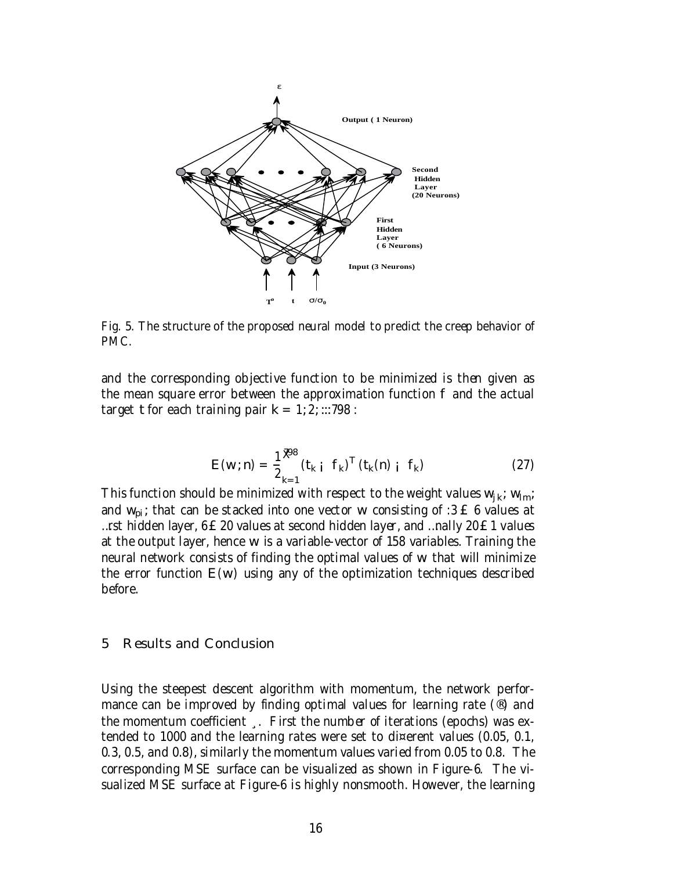

Fig. 5. The structure of the proposed neural model to predict the creep behavior of PMC.

and the corresponding objective function to be minimized is then given as the mean square error between the approximation function f and the actual target t for each training pair  $k = 1; 2; ...798$ :

$$
E(w; n) = \frac{1}{2} \frac{\mathcal{R}^8}{k+1} (t_{k i} f_k)^T (t_k(n) i f_k)
$$
 (27)

This function should be minimized with respect to the weight values  $w_{ik}$ ;  $w_{lm}$ ; and  $w_{\text{pi}}$ ; that can be stacked into one vector w consisting of :3 £ 6 values at …rst hidden layer, 6£20 values at second hidden layer, and …nally 20£1 values at the output layer, hence w is a variable-vector of 158 variables. Training the neural network consists of finding the optimal values of w that will minimize the error function  $E(w)$  using any of the optimization techniques described before.

#### 5 Results and Conclusion

Using the steepest descent algorithm with momentum, the network performance can be improved by finding optimal values for learning rate (®) and the momentum coefficient ¸. First the number of iterations (epochs) was extended to 1000 and the learning rates were set to di¤erent values (0.05, 0.1, 0.3, 0.5, and 0.8), similarly the momentum values varied from 0.05 to 0.8. The corresponding MSE surface can be visualized as shown in Figure-6. The visualized MSE surface at Figure-6 is highly nonsmooth. However, the learning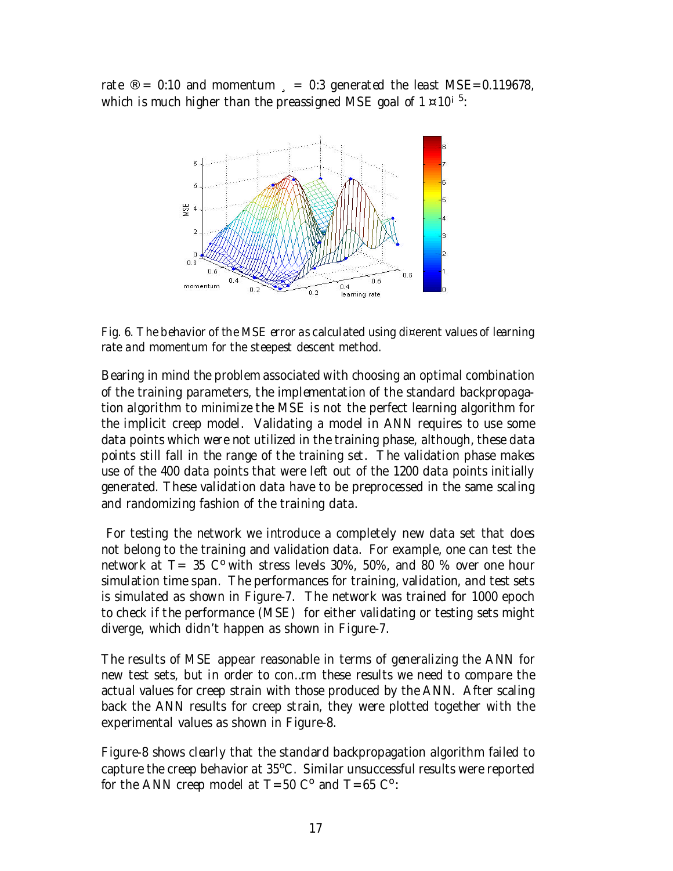rate  $\textdegree = 0.10$  and momentum  $\textdegree = 0.3$  generated the least MSE=0.119678, which is much higher than the preassigned MSE goal of 1  $\scriptstyle\rm z$  10<sup>i 5</sup>:



Fig. 6. The behavior of the MSE error as calculated using di¤erent values of learning rate and momentum for the steepest descent method.

Bearing in mind the problem associated with choosing an optimal combination of the training parameters, the implementation of the standard backpropagation algorithm to minimize the MSE is not the perfect learning algorithm for the implicit creep model. Validating a model in ANN requires to use some data points which were not utilized in the training phase, although, these data points still fall in the range of the training set. The validation phase makes use of the 400 data points that were left out of the 1200 data points initially generated. These validation data have to be preprocessed in the same scaling and randomizing fashion of the training data.

For testing the network we introduce a completely new data set that does not belong to the training and validation data. For example, one can test the network at  $T = 35$  C<sup>o</sup> with stress levels 30%, 50%, and 80 % over one hour simulation time span. The performances for training, validation, and test sets is simulated as shown in Figure-7. The network was trained for 1000 epoch to check if the performance (MSE) for either validating or testing sets might diverge, which didn't happen as shown in Figure-7.

The results of MSE appear reasonable in terms of generalizing the ANN for new test sets, but in order to con…rm these results we need to compare the actual values for creep strain with those produced by the ANN. After scaling back the ANN results for creep strain, they were plotted together with the experimental values as shown in Figure-8.

Figure-8 shows clearly that the standard backpropagation algorithm failed to capture the creep behavior at 35°C. Similar unsuccessful results were reported for the ANN creep model at  $T=50$  C<sup>o</sup> and  $T=65$  C<sup>o</sup>: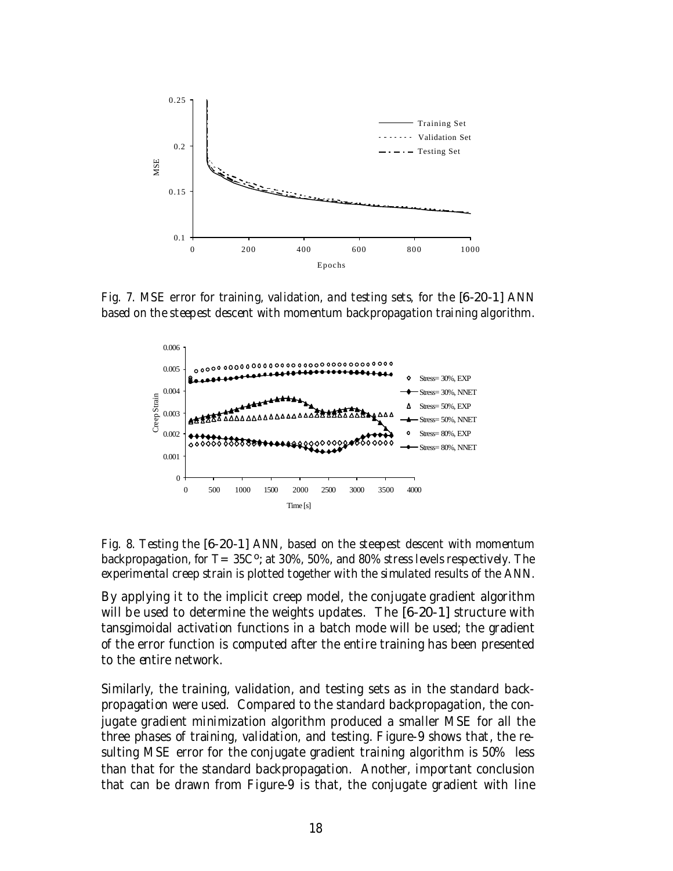

Fig. 7. MSE error for training, validation, and testing sets, for the [6-20-1] ANN based on the steepest descent with momentum backpropagation training algorithm.



Fig. 8. Testing the [6-20-1] ANN, based on the steepest descent with momentum backpropagation, for T= 35C<sup>o</sup>; at 30%, 50%, and 80% stress levels respectively. The experimental creep strain is plotted together with the simulated results of the ANN.

By applying it to the implicit creep model, the conjugate gradient algorithm will be used to determine the weights updates. The [6-20-1] structure with tansgimoidal activation functions in a batch mode will be used; the gradient of the error function is computed after the entire training has been presented to the entire network.

Similarly, the training, validation, and testing sets as in the standard backpropagation were used. Compared to the standard backpropagation, the conjugate gradient minimization algorithm produced a smaller MSE for all the three phases of training, validation, and testing. Figure-9 shows that, the resulting MSE error for the conjugate gradient training algorithm is 50% less than that for the standard backpropagation. Another, important conclusion that can be drawn from Figure-9 is that, the conjugate gradient with line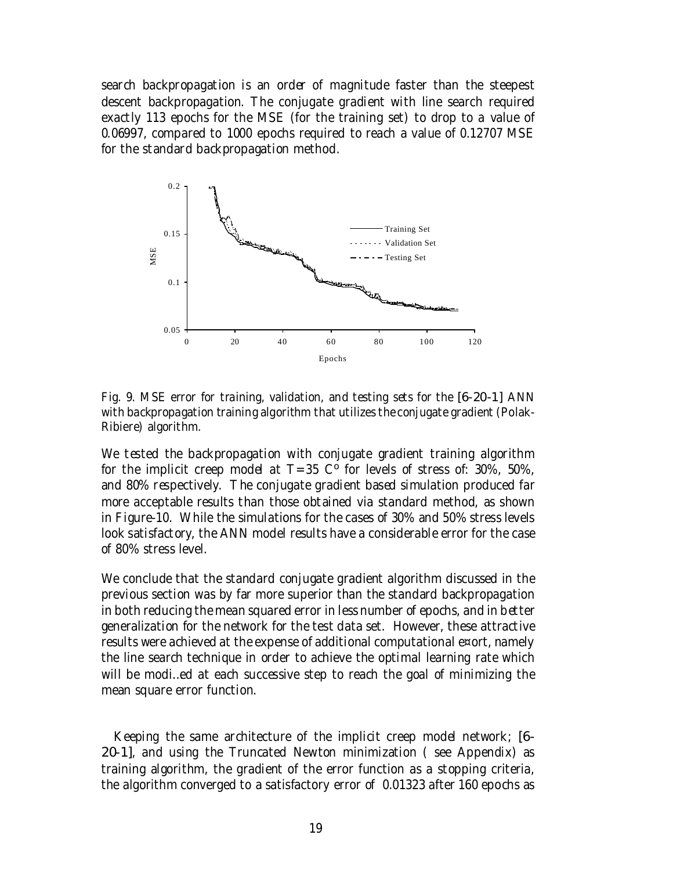search backpropagation is an order of magnitude faster than the steepest descent backpropagation. The conjugate gradient with line search required exactly 113 epochs for the MSE (for the training set) to drop to a value of 0.06997, compared to 1000 epochs required to reach a value of 0.12707 MSE for the standard backpropagation method.



Fig. 9. MSE error for training, validation, and testing sets for the [6-20-1] ANN with backpropagation training algorithm that utilizes the conjugate gradient (Polak-Ribiere) algorithm.

We tested the backpropagation with conjugate gradient training algorithm for the implicit creep model at  $T=35$  C<sup>o</sup> for levels of stress of: 30%, 50%, and 80% respectively. The conjugate gradient based simulation produced far more acceptable results than those obtained via standard method, as shown in Figure-10. While the simulations for the cases of 30% and 50% stress levels look satisfactory, the ANN model results have a considerable error for the case of 80% stress level.

We conclude that the standard conjugate gradient algorithm discussed in the previous section was by far more superior than the standard backpropagation in both reducing the mean squared error in less number of epochs, and in better generalization for the network for the test data set. However, these attractive results were achieved at the expense of additional computational e¤ort, namely the line search technique in order to achieve the optimal learning rate which will be modi…ed at each successive step to reach the goal of minimizing the mean square error function.

Keeping the same architecture of the implicit creep model network; [6- 20-1], and using the Truncated Newton minimization ( see Appendix) as training algorithm, the gradient of the error function as a stopping criteria, the algorithm converged to a satisfactory error of 0.01323 after 160 epochs as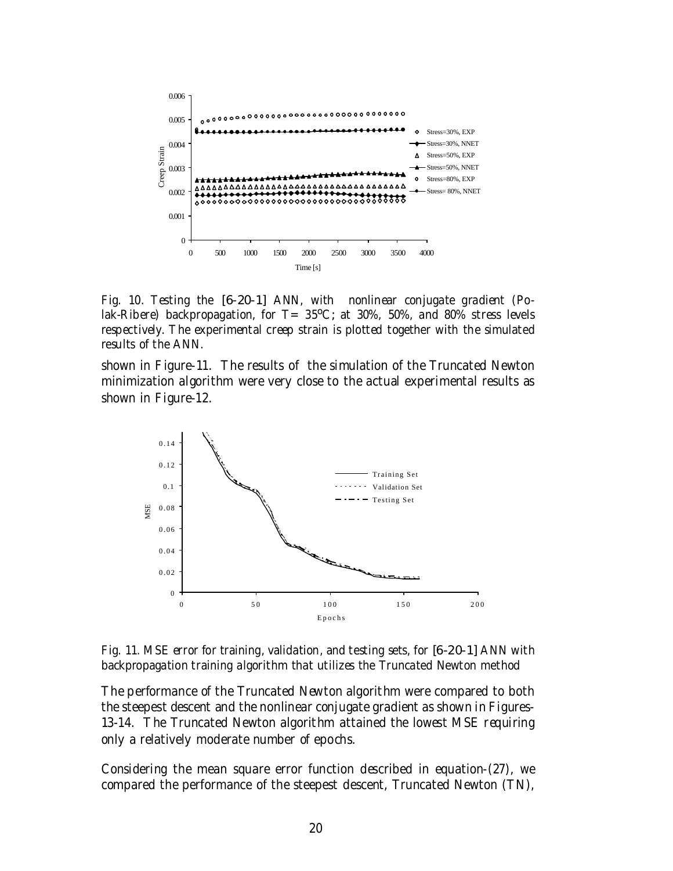

Fig. 10. Testing the [6-20-1] ANN, with nonlinear conjugate gradient (Polak-Ribere) backpropagation, for  $T = 35^{\circ}$ C; at 30%, 50%, and 80% stress levels respectively. The experimental creep strain is plotted together with the simulated results of the ANN.

shown in Figure-11. The results of the simulation of the Truncated Newton minimization algorithm were very close to the actual experimental results as shown in Figure-12.



Fig. 11. MSE error for training, validation, and testing sets, for [6-20-1] ANN with backpropagation training algorithm that utilizes the Truncated Newton method

The performance of the Truncated Newton algorithm were compared to both the steepest descent and the nonlinear conjugate gradient as shown in Figures-13-14. The Truncated Newton algorithm attained the lowest MSE requiring only a relatively moderate number of epochs.

Considering the mean square error function described in equation-(27), we compared the performance of the steepest descent, Truncated Newton (TN),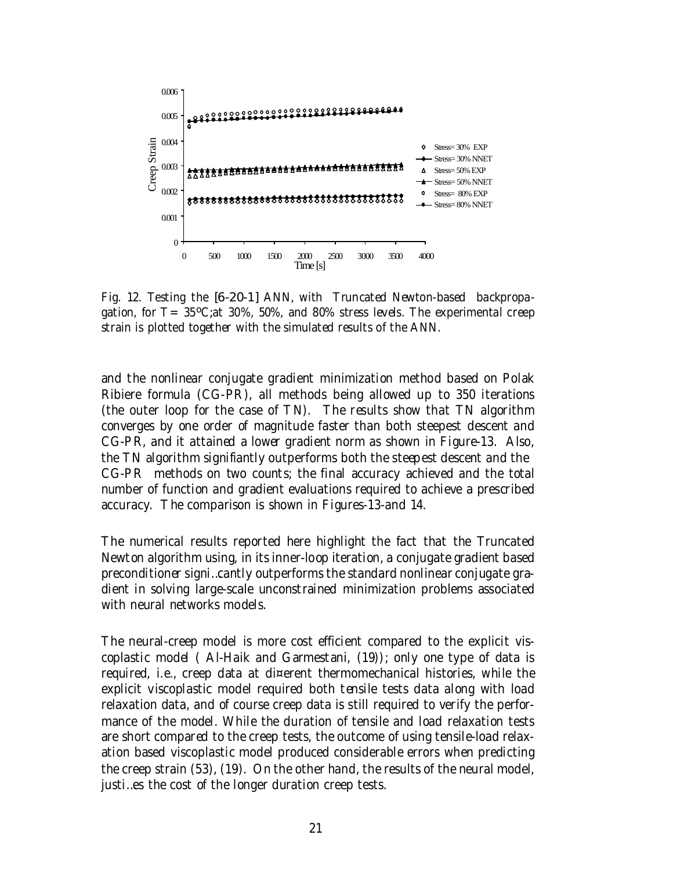

Fig. 12. Testing the [6-20-1] ANN, with Truncated Newton-based backpropagation, for  $T = 35^{\circ}$ C;at 30%, 50%, and 80% stress levels. The experimental creep strain is plotted together with the simulated results of the ANN.

and the nonlinear conjugate gradient minimization method based on Polak Ribiere formula (CG-PR), all methods being allowed up to 350 iterations (the outer loop for the case of TN). The results show that TN algorithm converges by one order of magnitude faster than both steepest descent and CG-PR, and it attained a lower gradient norm as shown in Figure-13. Also, the TN algorithm signifiantly outperforms both the steepest descent and the CG-PR methods on two counts; the final accuracy achieved and the total number of function and gradient evaluations required to achieve a prescribed accuracy. The comparison is shown in Figures-13-and 14.

The numerical results reported here highlight the fact that the Truncated Newton algorithm using, in its inner-loop iteration, a conjugate gradient based preconditioner signi…cantly outperforms the standard nonlinear conjugate gradient in solving large-scale unconstrained minimization problems associated with neural networks models.

The neural-creep model is more cost efficient compared to the explicit viscoplastic model ( Al-Haik and Garmestani, (19)); only one type of data is required, i.e., creep data at di¤erent thermomechanical histories, while the explicit viscoplastic model required both tensile tests data along with load relaxation data, and of course creep data is still required to verify the performance of the model. While the duration of tensile and load relaxation tests are short compared to the creep tests, the outcome of using tensile-load relaxation based viscoplastic model produced considerable errors when predicting the creep strain (53), (19). On the other hand, the results of the neural model, justi…es the cost of the longer duration creep tests.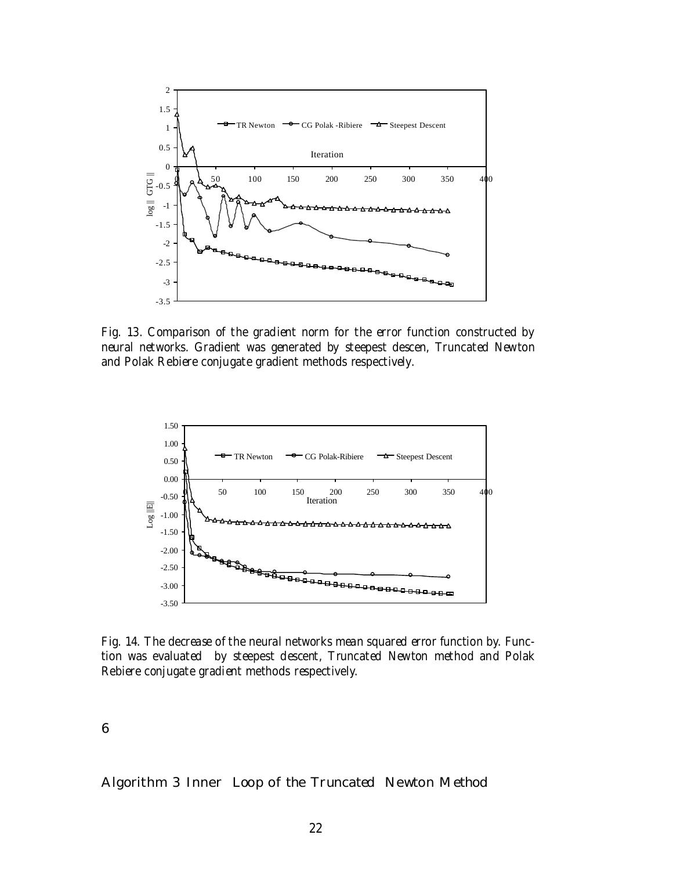

Fig. 13. Comparison of the gradient norm for the error function constructed by neural networks. Gradient was generated by steepest descen, Truncated Newton and Polak Rebiere conjugate gradient methods respectively.



Fig. 14. The decrease of the neural networks mean squared error function by. Function was evaluated by steepest descent, Truncated Newton method and Polak Rebiere conjugate gradient methods respectively.

6

Algorithm 3 Inner Loop of the Truncated Newton Method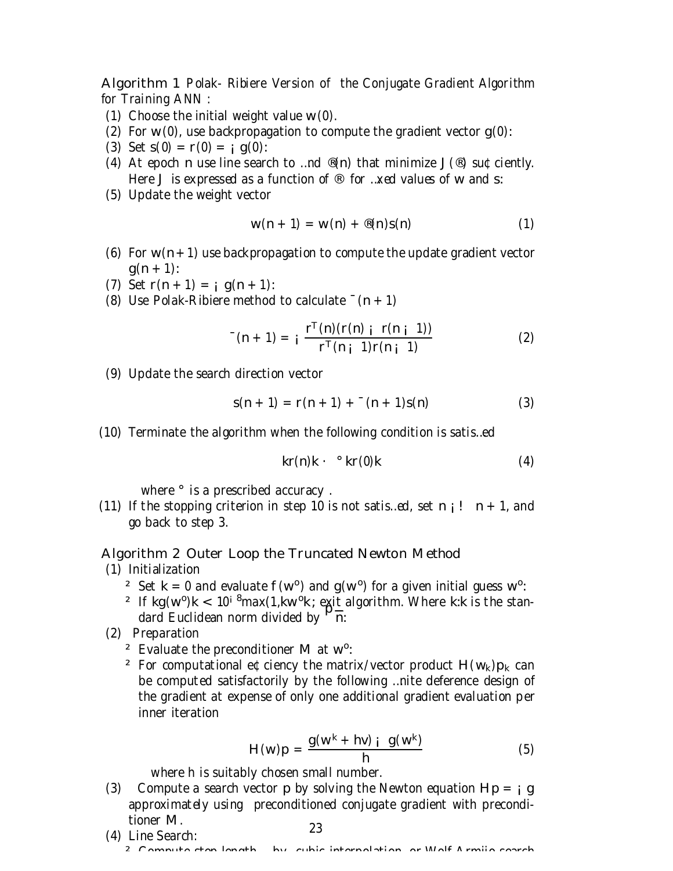Algorithm 1 Polak- Ribiere Version of the Conjugate Gradient Algorithm for Training ANN :

- (1) Choose the initial weight value w(0).
- (2) For  $w(0)$ , use backpropagation to compute the gradient vector  $g(0)$ :
- (3) Set  $s(0) = r(0) = i g(0)$ :
- (4) At epoch n use line search to ...nd  $\mathcal{O}(n)$  that minimize  $J(\mathcal{O})$  su $\mathcal{O}$ ciently. Here J is expressed as a function of  $\mathcal{P}$  for ... xed values of w and s:
- (5) Update the weight vector

$$
w(n + 1) = w(n) + \mathcal{B}(n)s(n)
$$
 (1)

- (6) For  $w(n+1)$  use backpropagation to compute the update gradient vector  $q(n + 1)$ :
- (7) Set  $r(n + 1) = i$  g(n + 1):
- (8) Use Polak-Ribiere method to calculate  $( n + 1)$

$$
^{-}(n+1) = i \frac{r^{T}(n)(r(n) i r(n+1))}{r^{T}(n i 1)r(n+1)}
$$
 (2)

(9) Update the search direction vector

$$
s(n + 1) = r(n + 1) + (n + 1)s(n)
$$
 (3)

(10) Terminate the algorithm when the following condition is satis…ed

$$
kr(n)k \cdot \mathcal{L} \cdot kr(0)k \tag{4}
$$

where  $\degree$  is a prescribed accuracy.

(11) If the stopping criterion in step 10 is not satis...ed, set  $n_i!$  n + 1, and go back to step 3.

#### Algorithm 2 Outer Loop the Truncated Newton Method

- (1) Initialization
	- <sup>2</sup> Set k = 0 and evaluate  $f(w^0)$  and  $g(w^0)$  for a given initial guess w<sup>o</sup>:
	- <sup>2</sup> If kg(w<sup>o</sup>)k < 10<sup>i 8</sup>max(1,kw<sup>o</sup>k; exit algorithm. Where k:k is the standard Euclidean norm divided by  $P_{\overline{n}}$ .
- (2) Preparation
	- <sup>2</sup> Evaluate the preconditioner M at  $w^0$ :
	- <sup>2</sup> For computational e¢ciency the matrix/vector product  $H(w_k)p_k$  can be computed satisfactorily by the following …nite deference design of the gradient at expense of only one additional gradient evaluation per inner iteration

$$
H(w)p = \frac{g(w^k + hv)}{h}i \quad g(w^k)
$$
 (5)

where h is suitably chosen small number.

- (3) Compute a search vector p by solving the Newton equation  $Hp = q$ approximately using preconditioned conjugate gradient with preconditioner M. 23
- (4) Line Search: ² Compute step length ¸ by cubic interpolation, or Wolf Armijo search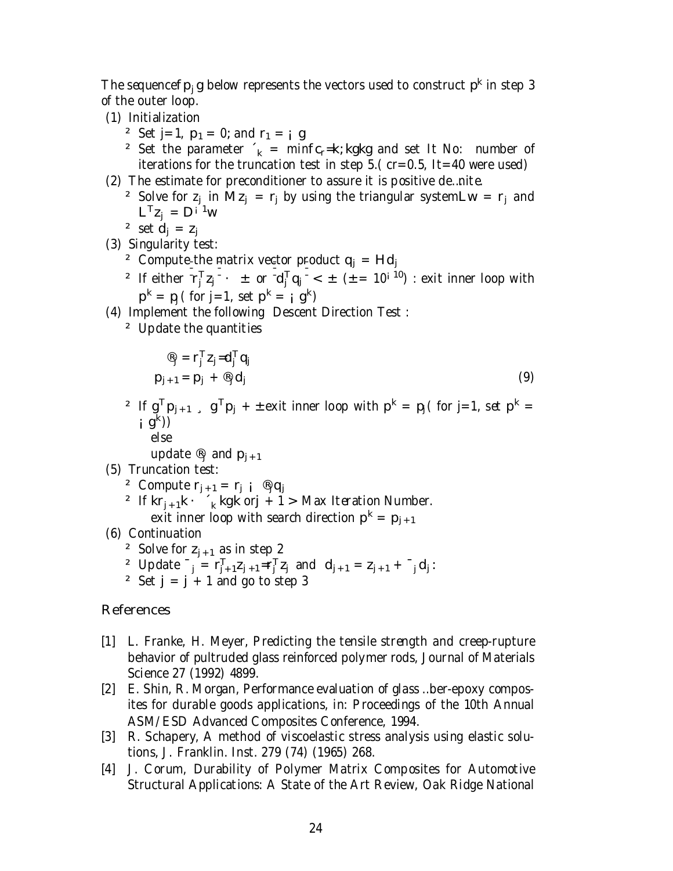The sequencef $p_j$ g below represents the vectors used to construct  $p^k$  in step 3 of the outer loop.

- (1) Initialization
	- <sup>2</sup> Set j=1,  $p_1 = 0$ ; and  $r_1 = j g$
	- <sup>2</sup> Set the parameter  $k = \min f c_r = k$ ; kgkg and set It No: number of iterations for the truncation test in step  $5.(cr=0.5, It=40$  were used)
- (2) The estimate for preconditioner to assure it is positive de…nite.
	- <sup>2</sup> Solve for  $z_j$  in Mz<sub>j</sub> =  $r_j$  by using the triangular systemLw =  $r_j$  and  $L^{T}z_{j} = D^{i-1}w$
	- <sup>2</sup> set  $d_i = z_i$
- (3) Singularity test:
	- <sup>2</sup> Compute the matrix vector product  $q_i = Hd_i$
	- <sup>2</sup> If either  $r_j^T z_j \pm$  or  $d_j^T q_j < \pm$  ( $\pm = 10^{j}$  <sup>10</sup>) : exit inner loop with  $p^k = p_j$  ( for j=1, set  $p^k = i$  g<sup>k</sup>)
- (4) Implement the following Descent Direction Test :
	- ² Update the quantities

$$
\begin{aligned}\n\mathbf{P}_{j} &= \mathbf{r}_{j}^{\top} \mathbf{Z}_{j} = \mathbf{d}_{j}^{\top} \mathbf{q}_{j} \\
\mathbf{p}_{j+1} &= \mathbf{p}_{j} + \mathbf{P}_{j} \mathbf{d}_{j}\n\end{aligned} \tag{9}
$$

- <sup>2</sup> If  $g^{T}p_{j+1}$ ,  $g^{T}p_{j}$  + ± exit inner loop with  $p^{k} = p_{j}$  (for j=1, set  $p^{k} =$  $j \cdot g^{(k)}$ 
	- else
	- update  $\mathcal{B}_j$  and  $p_{j+1}$
- (5) Truncation test:
	- <sup>2</sup> Compute  $r_{j+1} = r_j$  i  $\mathcal{B}_j q_j$
	- <sup>2</sup> If  $kr_{j+1}k \cdot \tau_k$  kgk orj + 1 > Max Iteration Number. exit inner loop with search direction  $\mathsf{p}^\mathsf{k} = \mathsf{p}_{\mathsf{j} + 1}$

(6) Continuation

- <sup>2</sup> Solve for  $z_{i+1}$  as in step 2
- 2 Update  $^{-}$   $_{j} = r_{j+1}^{T}z_{j+1} = r_{j}^{T}z_{j}$  and  $d_{j+1} = z_{j+1} + \frac{1}{j}d_{j}$ :
- <sup>2</sup> Set  $j = j + 1$  and go to step 3

## **References**

- [1] L. Franke, H. Meyer, Predicting the tensile strength and creep-rupture behavior of pultruded glass reinforced polymer rods, Journal of Materials Science 27 (1992) 4899.
- [2] E. Shin, R. Morgan, Performance evaluation of glass …ber-epoxy composites for durable goods applications, in: Proceedings of the 10th Annual ASM/ESD Advanced Composites Conference, 1994.
- [3] R. Schapery, A method of viscoelastic stress analysis using elastic solutions, J. Franklin. Inst. 279 (74) (1965) 268.
- [4] J. Corum, Durability of Polymer Matrix Composites for Automotive Structural Applications: A State of the Art Review, Oak Ridge National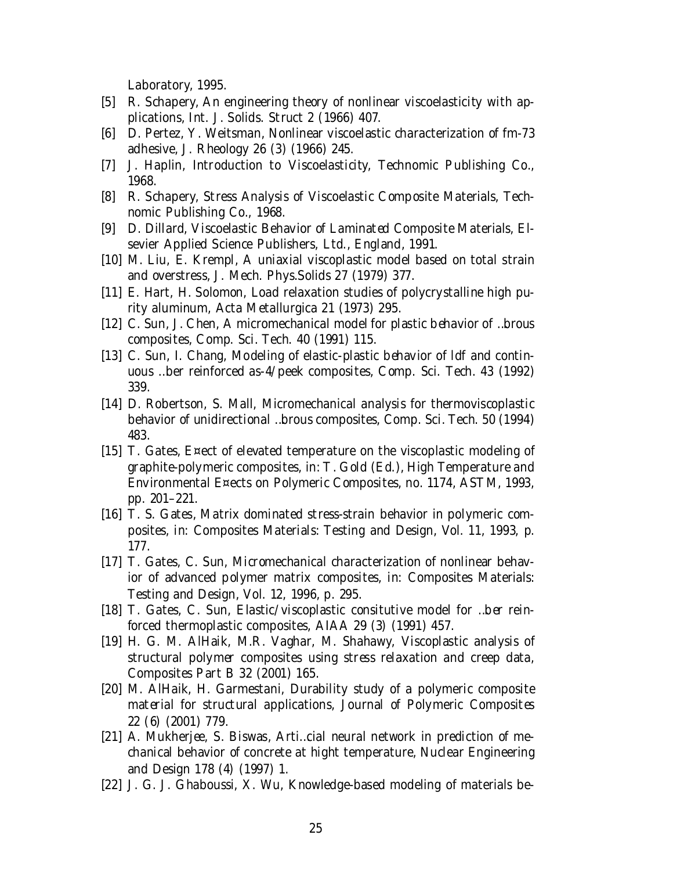Laboratory, 1995.

- [5] R. Schapery, An engineering theory of nonlinear viscoelasticity with applications, Int. J. Solids. Struct 2 (1966) 407.
- [6] D. Pertez, Y. Weitsman, Nonlinear viscoelastic characterization of fm-73 adhesive, J. Rheology 26 (3) (1966) 245.
- [7] J. Haplin, Introduction to Viscoelasticity, Technomic Publishing Co., 1968.
- [8] R. Schapery, Stress Analysis of Viscoelastic Composite Materials, Technomic Publishing Co., 1968.
- [9] D. Dillard, Viscoelastic Behavior of Laminated Composite Materials, Elsevier Applied Science Publishers, Ltd., England, 1991.
- [10] M. Liu, E. Krempl, A uniaxial viscoplastic model based on total strain and overstress, J. Mech. Phys.Solids 27 (1979) 377.
- [11] E. Hart, H. Solomon, Load relaxation studies of polycrystalline high purity aluminum, Acta Metallurgica 21 (1973) 295.
- [12] C. Sun, J. Chen, A micromechanical model for plastic behavior of …brous composites, Comp. Sci. Tech. 40 (1991) 115.
- [13] C. Sun, I. Chang, Modeling of elastic-plastic behavior of ldf and continuous …ber reinforced as-4/peek composites, Comp. Sci. Tech. 43 (1992) 339.
- [14] D. Robertson, S. Mall, Micromechanical analysis for thermoviscoplastic behavior of unidirectional …brous composites, Comp. Sci. Tech. 50 (1994) 483.
- [15] T. Gates, E¤ect of elevated temperature on the viscoplastic modeling of graphite-polymeric composites, in: T. Gold (Ed.), High Temperature and Environmental E¤ects on Polymeric Composites, no. 1174, ASTM, 1993, pp. 201–221.
- [16] T. S. Gates, Matrix dominated stress-strain behavior in polymeric composites, in: Composites Materials: Testing and Design, Vol. 11, 1993, p. 177.
- [17] T. Gates, C. Sun, Micromechanical characterization of nonlinear behavior of advanced polymer matrix composites, in: Composites Materials: Testing and Design, Vol. 12, 1996, p. 295.
- [18] T. Gates, C. Sun, Elastic/viscoplastic consitutive model for …ber reinforced thermoplastic composites, AIAA 29 (3) (1991) 457.
- [19] H. G. M. AlHaik, M.R. Vaghar, M. Shahawy, Viscoplastic analysis of structural polymer composites using stress relaxation and creep data, Composites Part B 32 (2001) 165.
- [20] M. AlHaik, H. Garmestani, Durability study of a polymeric composite material for structural applications, Journal of Polymeric Composites 22 (6) (2001) 779.
- [21] A. Mukherjee, S. Biswas, Arti...cial neural network in prediction of mechanical behavior of concrete at hight temperature, Nuclear Engineering and Design 178 (4) (1997) 1.
- [22] J. G. J. Ghaboussi, X. Wu, Knowledge-based modeling of materials be-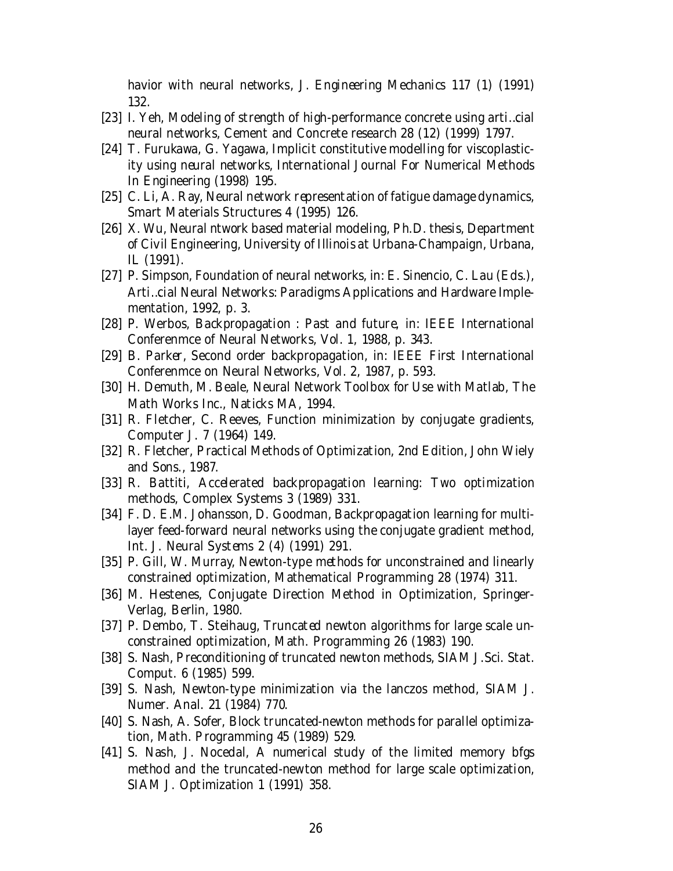havior with neural networks, J. Engineering Mechanics 117 (1) (1991) 132.

- [23] I. Yeh, Modeling of strength of high-performance concrete using arti…cial neural networks, Cement and Concrete research 28 (12) (1999) 1797.
- [24] T. Furukawa, G. Yagawa, Implicit constitutive modelling for viscoplasticity using neural networks, International Journal For Numerical Methods In Engineering (1998) 195.
- [25] C. Li, A. Ray, Neural network representation of fatigue damage dynamics, Smart Materials Structures 4 (1995) 126.
- [26] X. Wu, Neural ntwork based material modeling, Ph.D. thesis, Department of Civil Engineering, University of Illinois at Urbana-Champaign, Urbana, IL (1991).
- [27] P. Simpson, Foundation of neural networks, in: E. Sinencio, C. Lau (Eds.), Arti…cial Neural Networks: Paradigms Applications and Hardware Implementation, 1992, p. 3.
- [28] P. Werbos, Backpropagation : Past and future, in: IEEE International Conferenmce of Neural Networks, Vol. 1, 1988, p. 343.
- [29] B. Parker, Second order backpropagation, in: IEEE First International Conferenmce on Neural Networks, Vol. 2, 1987, p. 593.
- [30] H. Demuth, M. Beale, Neural Network Toolbox for Use with Matlab, The Math Works Inc., Naticks MA, 1994.
- [31] R. Fletcher, C. Reeves, Function minimization by conjugate gradients, Computer J. 7 (1964) 149.
- [32] R. Fletcher, Practical Methods of Optimization, 2nd Edition, John Wiely and Sons., 1987.
- [33] R. Battiti, Accelerated backpropagation learning: Two optimization methods, Complex Systems 3 (1989) 331.
- [34] F. D. E.M. Johansson, D. Goodman, Backpropagation learning for multilayer feed-forward neural networks using the conjugate gradient method, Int. J. Neural Systems 2 (4) (1991) 291.
- [35] P. Gill, W. Murray, Newton-type methods for unconstrained and linearly constrained optimization, Mathematical Programming 28 (1974) 311.
- [36] M. Hestenes, Conjugate Direction Method in Optimization, Springer-Verlag, Berlin, 1980.
- [37] P. Dembo, T. Steihaug, Truncated newton algorithms for large scale unconstrained optimization, Math. Programming 26 (1983) 190.
- [38] S. Nash, Preconditioning of truncated newton methods, SIAM J.Sci. Stat. Comput. 6 (1985) 599.
- [39] S. Nash, Newton-type minimization via the lanczos method, SIAM J. Numer. Anal. 21 (1984) 770.
- [40] S. Nash, A. Sofer, Block truncated-newton methods for parallel optimization, Math. Programming 45 (1989) 529.
- [41] S. Nash, J. Nocedal, A numerical study of the limited memory bfgs method and the truncated-newton method for large scale optimization, SIAM J. Optimization 1 (1991) 358.